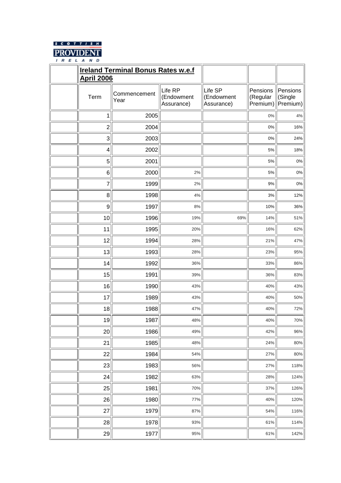

| <b>Ireland Terminal Bonus Rates w.e.f</b><br><b>April 2006</b> |                      |                                     |                                     |                                  |                                 |
|----------------------------------------------------------------|----------------------|-------------------------------------|-------------------------------------|----------------------------------|---------------------------------|
| Term                                                           | Commencement<br>Year | Life RP<br>(Endowment<br>Assurance) | Life SP<br>(Endowment<br>Assurance) | Pensions<br>(Regular<br>Premium) | Pensions<br>(Single<br>Premium) |
| 1                                                              | 2005                 |                                     |                                     | $0\%$                            | $4\%$                           |
| $\overline{2}$                                                 | 2004                 |                                     |                                     | $0\%$                            | 16%                             |
| 3                                                              | 2003                 |                                     |                                     | $0\%$                            | 24%                             |
| $\overline{4}$                                                 | 2002                 |                                     |                                     | 5%                               | 18%                             |
| 5                                                              | 2001                 |                                     |                                     | 5%                               | $0\%$                           |
| $6\phantom{1}6$                                                | 2000                 | $2\%$                               |                                     | 5%                               | $0\%$                           |
| $\overline{7}$                                                 | 1999                 | 2%                                  |                                     | $9%$                             | $0\%$                           |
| 8                                                              | 1998                 | 4%                                  |                                     | 3%                               | 12%                             |
| 9                                                              | 1997                 | 8%                                  |                                     | 10%                              | 36%                             |
| 10                                                             | 1996                 | 19%                                 | 69%                                 | 14%                              | 51%                             |
| 11                                                             | 1995                 | 20%                                 |                                     | 16%                              | 62%                             |
| 12                                                             | 1994                 | 28%                                 |                                     | 21%                              | 47%                             |
| 13                                                             | 1993                 | 28%                                 |                                     | 23%                              | 95%                             |
| 14                                                             | 1992                 | 36%                                 |                                     | 33%                              | 86%                             |
| 15                                                             | 1991                 | 39%                                 |                                     | 36%                              | 83%                             |
| 16                                                             | 1990                 | 43%                                 |                                     | 40%                              | 43%                             |
| 17                                                             | 1989                 | 43%                                 |                                     | 40%                              | 50%                             |
| 18                                                             | 1988                 | 47%                                 |                                     | 40%                              | 72%                             |
| 19                                                             | 1987                 | 48%                                 |                                     | 40%                              | 70%                             |
| 20                                                             | 1986                 | 49%                                 |                                     | 42%                              | 96%                             |
| 21                                                             | 1985                 | 48%                                 |                                     | 24%                              | 80%                             |
| 22                                                             | 1984                 | 54%                                 |                                     | 27%                              | 80%                             |
| 23                                                             | 1983                 | 56%                                 |                                     | 27%                              | 118%                            |
| 24                                                             | 1982                 | 63%                                 |                                     | 28%                              | 124%                            |
| 25                                                             | 1981                 | 70%                                 |                                     | 37%                              | 126%                            |
| 26                                                             | 1980                 | 77%                                 |                                     | 40%                              | 120%                            |
| 27                                                             | 1979                 | 87%                                 |                                     | 54%                              | 116%                            |
| 28                                                             | 1978                 | 93%                                 |                                     | 61%                              | 114%                            |
| 29                                                             | 1977                 | 95%                                 |                                     | 61%                              | 142%                            |